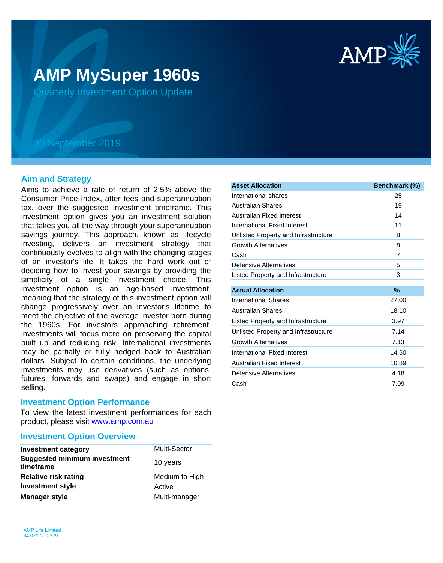

# **AMP MySuper 1960s**

Quarterly Investment Option Update

## 30 September 2019

## **Aim and Strategy**

Aims to achieve a rate of return of 2.5% above the Consumer Price Index, after fees and superannuation tax, over the suggested investment timeframe. This investment option gives you an investment solution that takes you all the way through your superannuation savings journey. This approach, known as lifecycle investing, delivers an investment strategy that continuously evolves to align with the changing stages of an investor's life. It takes the hard work out of deciding how to invest your savings by providing the simplicity of a single investment choice. This investment option is an age-based investment, meaning that the strategy of this investment option will change progressively over an investor's lifetime to meet the objective of the average investor born during the 1960s. For investors approaching retirement, investments will focus more on preserving the capital built up and reducing risk. International investments may be partially or fully hedged back to Australian dollars. Subject to certain conditions, the underlying investments may use derivatives (such as options, futures, forwards and swaps) and engage in short selling.

## **Investment Option Performance**

product, please visit [www.amp.com.au](https://www.amp.com.au) To view the latest investment performances for each

## **Investment Option Overview**

| <b>Investment category</b>                       | <b>Multi-Sector</b> |
|--------------------------------------------------|---------------------|
| <b>Suggested minimum investment</b><br>timeframe | 10 years            |
| <b>Relative risk rating</b>                      | Medium to High      |
| <b>Investment style</b>                          | Active              |
| <b>Manager style</b>                             | Multi-manager       |

| <b>Asset Allocation</b>              | Benchmark (%) |
|--------------------------------------|---------------|
| International shares                 | 25            |
| <b>Australian Shares</b>             | 19            |
| Australian Fixed Interest            | 14            |
| International Fixed Interest         | 11            |
| Unlisted Property and Infrastructure | 8             |
| <b>Growth Alternatives</b>           | 8             |
| Cash                                 | 7             |
| Defensive Alternatives               | 5             |
| Listed Property and Infrastructure   | 3             |
|                                      |               |
| <b>Actual Allocation</b>             | $\%$          |
| <b>International Shares</b>          | 27.00         |
| <b>Australian Shares</b>             | 18.10         |
| Listed Property and Infrastructure   | 3.97          |
| Unlisted Property and Infrastructure | 7.14          |
| <b>Growth Alternatives</b>           | 7.13          |
| International Fixed Interest         | 14.50         |
| Australian Fixed Interest            | 10.89         |
| Defensive Alternatives               | 4.18          |
| Cash                                 | 7.09          |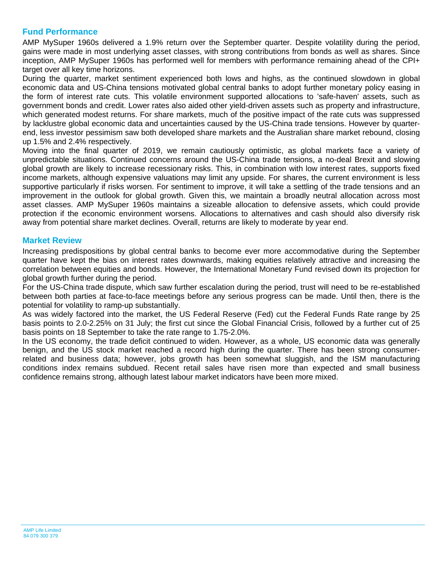## **Fund Performance**

AMP MySuper 1960s delivered a 1.9% return over the September quarter. Despite volatility during the period, gains were made in most underlying asset classes, with strong contributions from bonds as well as shares. Since inception, AMP MySuper 1960s has performed well for members with performance remaining ahead of the CPI+ target over all key time horizons.

During the quarter, market sentiment experienced both lows and highs, as the continued slowdown in global economic data and US-China tensions motivated global central banks to adopt further monetary policy easing in the form of interest rate cuts. This volatile environment supported allocations to 'safe-haven' assets, such as government bonds and credit. Lower rates also aided other yield-driven assets such as property and infrastructure, which generated modest returns. For share markets, much of the positive impact of the rate cuts was suppressed by lacklustre global economic data and uncertainties caused by the US-China trade tensions. However by quarterend, less investor pessimism saw both developed share markets and the Australian share market rebound, closing up 1.5% and 2.4% respectively.

Moving into the final quarter of 2019, we remain cautiously optimistic, as global markets face a variety of unpredictable situations. Continued concerns around the US-China trade tensions, a no-deal Brexit and slowing global growth are likely to increase recessionary risks. This, in combination with low interest rates, supports fixed income markets, although expensive valuations may limit any upside. For shares, the current environment is less supportive particularly if risks worsen. For sentiment to improve, it will take a settling of the trade tensions and an improvement in the outlook for global growth. Given this, we maintain a broadly neutral allocation across most asset classes. AMP MySuper 1960s maintains a sizeable allocation to defensive assets, which could provide protection if the economic environment worsens. Allocations to alternatives and cash should also diversify risk away from potential share market declines. Overall, returns are likely to moderate by year end.

## **Market Review**

Increasing predispositions by global central banks to become ever more accommodative during the September quarter have kept the bias on interest rates downwards, making equities relatively attractive and increasing the correlation between equities and bonds. However, the International Monetary Fund revised down its projection for global growth further during the period.

For the US-China trade dispute, which saw further escalation during the period, trust will need to be re-established between both parties at face-to-face meetings before any serious progress can be made. Until then, there is the potential for volatility to ramp-up substantially.

As was widely factored into the market, the US Federal Reserve (Fed) cut the Federal Funds Rate range by 25 basis points to 2.0-2.25% on 31 July; the first cut since the Global Financial Crisis, followed by a further cut of 25 basis points on 18 September to take the rate range to 1.75-2.0%.

In the US economy, the trade deficit continued to widen. However, as a whole, US economic data was generally benign, and the US stock market reached a record high during the quarter. There has been strong consumerrelated and business data; however, jobs growth has been somewhat sluggish, and the ISM manufacturing conditions index remains subdued. Recent retail sales have risen more than expected and small business confidence remains strong, although latest labour market indicators have been more mixed.